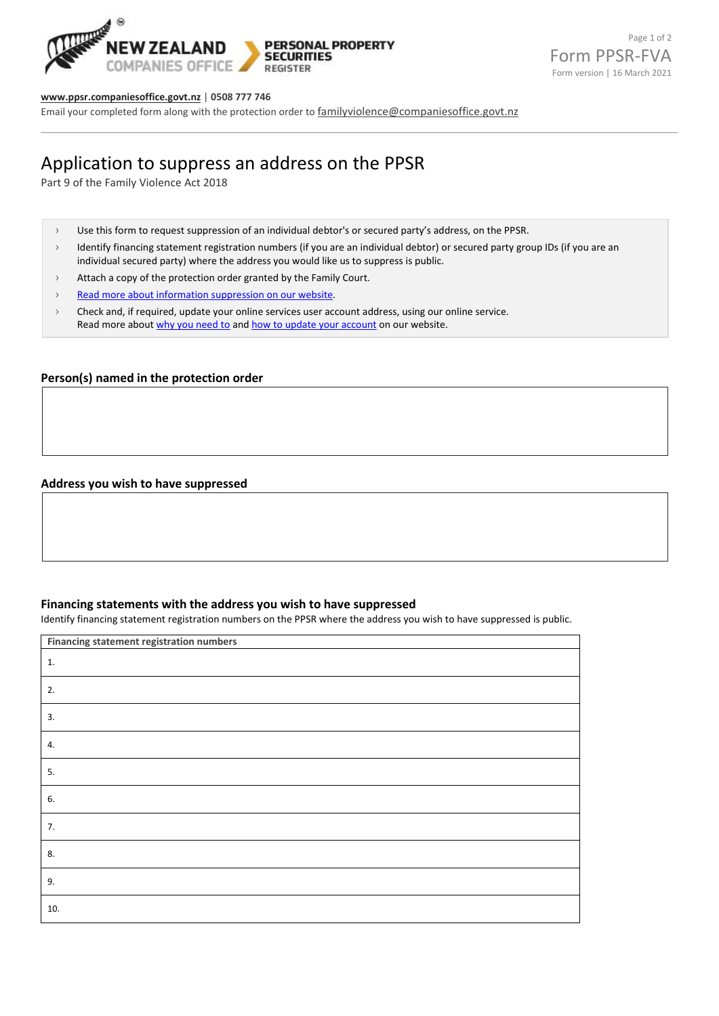

#### **[www.ppsr.companiesoffice.govt.nz](http://www.ppsr.companiesoffice.govt.nz/)** | **0508 777 746**

Email your completed form along with the protection order to [familyviolence@companiesoffice.govt.nz](mailto:familyviolence@companiesoffice.govt.nz)

# Application to suppress an address on the PPSR

Part 9 of the Family Violence Act 2018

- › Use this form to request suppression of an individual debtor's or secured party's address, on the PPSR.
- > Identify financing statement registration numbers (if you are an individual debtor) or secured party group IDs (if you are an individual secured party) where the address you would like us to suppress is public.
- $\rightarrow$  Attach a copy of the protection order granted by the Family Court.
- > [Read more about information suppression on our website.](https://ppsr.companiesoffice.govt.nz/help-centre/registering-on-the-ppsr/suppressing-an-address-on-the-ppsr)
- › Check and, if required, update your online services user account address, using our online service. Read more abou[t why you need to](https://ppsr.companiesoffice.govt.nz/help-centre/registering-on-the-ppsr/suppressing-an-address-on-the-ppsr#completing-your-application) an[d how to update your account](https://ppsr.companiesoffice.govt.nz/help-centre/managing-your-online-services-account/updating-your-account-details/) on our website.

## **Person(s) named in the protection order**

## **Address you wish to have suppressed**

#### **Financing statements with the address you wish to have suppressed**

Identify financing statement registration numbers on the PPSR where the address you wish to have suppressed is public.

| Financing statement registration numbers |  |
|------------------------------------------|--|
| 1.                                       |  |
| 2.                                       |  |
| 3.                                       |  |
| 4.                                       |  |
| 5.                                       |  |
| 6.                                       |  |
| 7.                                       |  |
| 8.                                       |  |
| 9.                                       |  |
| 10.                                      |  |